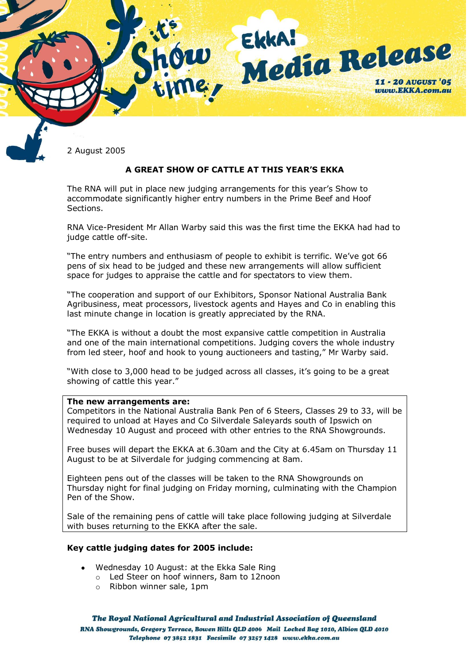

2 August 2005

# **A GREAT SHOW OF CATTLE AT THIS YEAR'S EKKA**

The RNA will put in place new judging arrangements for this year's Show to accommodate significantly higher entry numbers in the Prime Beef and Hoof Sections.

RNA Vice-President Mr Allan Warby said this was the first time the EKKA had had to judge cattle off-site.

"The entry numbers and enthusiasm of people to exhibit is terrific. We've got 66 pens of six head to be judged and these new arrangements will allow sufficient space for judges to appraise the cattle and for spectators to view them.

"The cooperation and support of our Exhibitors, Sponsor National Australia Bank Agribusiness, meat processors, livestock agents and Hayes and Co in enabling this last minute change in location is greatly appreciated by the RNA.

"The EKKA is without a doubt the most expansive cattle competition in Australia and one of the main international competitions. Judging covers the whole industry from led steer, hoof and hook to young auctioneers and tasting," Mr Warby said.

"With close to 3,000 head to be judged across all classes, it's going to be a great showing of cattle this year."

#### **The new arrangements are:**

Competitors in the National Australia Bank Pen of 6 Steers, Classes 29 to 33, will be required to unload at Hayes and Co Silverdale Saleyards south of Ipswich on Wednesday 10 August and proceed with other entries to the RNA Showgrounds.

Free buses will depart the EKKA at 6.30am and the City at 6.45am on Thursday 11 August to be at Silverdale for judging commencing at 8am.

Eighteen pens out of the classes will be taken to the RNA Showgrounds on Thursday night for final judging on Friday morning, culminating with the Champion Pen of the Show.

Sale of the remaining pens of cattle will take place following judging at Silverdale with buses returning to the EKKA after the sale.

#### **Key cattle judging dates for 2005 include:**

- Wednesday 10 August: at the Ekka Sale Ring
	- o Led Steer on hoof winners, 8am to 12noon
	- o Ribbon winner sale, 1pm